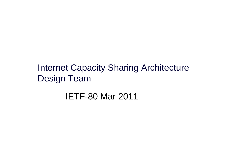## Internet Capacity Sharing ArchitectureDesign Team

### IETF-80 Mar 2011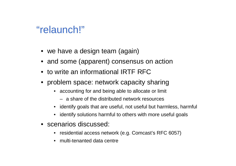## "relaunch!"

- we have a design team (again)
- and some (apparent) consensus on action
- to write an informational IRTF RFC
- problem space: network capacity sharing
	- accounting for and being able to allocate or limit
		- a share of the distributed network resources
	- identify goals that are useful, not useful but harmless, harmful
	- identify solutions harmful to others with more useful goals
- scenarios discussed:
	- residential access network (e.g. Comcast's RFC 6057)
	- •multi-tenanted data centre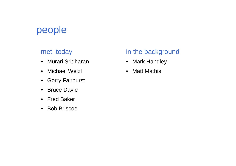## people

#### met today

- Murari Sridharan
- Michael Welzl
- Gorry Fairhurst
- $\bullet$ Bruce Davie
- Fred Baker
- Bob Briscoe

#### in the background

- Mark Handley
- $\bullet$ **Matt Mathis**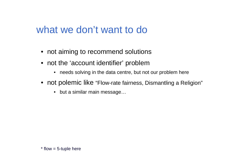## what we don't want to do

- not aiming to recommend solutions
- not the 'account identifier' problem
	- needs solving in the data centre, but not our problem here
- not polemic like "Flow-rate fairness, Dismantling a Religion"
	- but a similar main message…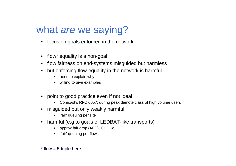# what are we saying?

- focus on goals enforced in the network
- flow\* equality is a non-goal
- flow fairness on end-systems misguided but harmless
- • but enforcing flow-equality in the network is harmful
	- •need to explain why
	- willing to give examples
- point to good practice even if not ideal
	- Comcast's RFC 6057: during peak demote class of high volume users
- misguided but only weakly harmful
	- 'fair' queuing per site
- harmful (e.g to goals of LEDBAT-like transports)
	- approx fair drop (AFD), CHOKe
	- 'fair' queuing per flow